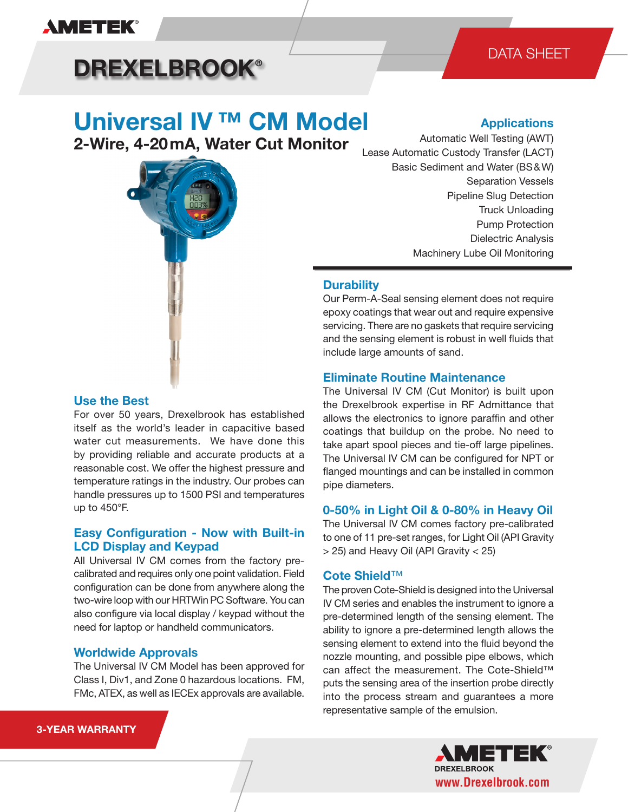

## **DREXELBROOK®**

# **Universal IV ™ CM Model**

**2-Wire, 4-20 mA, Water Cut Monitor**



## **Use the Best**

For over 50 years, Drexelbrook has established itself as the world's leader in capacitive based water cut measurements. We have done this by providing reliable and accurate products at a reasonable cost. We offer the highest pressure and temperature ratings in the industry. Our probes can handle pressures up to 1500 PSI and temperatures up to 450°F.

### **Easy Configuration - Now with Built-in LCD Display and Keypad**

All Universal IV CM comes from the factory precalibrated and requires only one point validation. Field configuration can be done from anywhere along the two-wire loop with our HRTWin PC Software. You can also configure via local display / keypad without the need for laptop or handheld communicators.

#### **Worldwide Approvals**

The Universal IV CM Model has been approved for Class I, Div1, and Zone 0 hazardous locations. FM, FMc, ATEX, as well as IECEx approvals are available.

### **Applications**

Automatic Well Testing (AWT) Lease Automatic Custody Transfer (LACT) Basic Sediment and Water (BS & W) Separation Vessels Pipeline Slug Detection Truck Unloading Pump Protection Dielectric Analysis Machinery Lube Oil Monitoring

### **Durability**

Our Perm-A-Seal sensing element does not require epoxy coatings that wear out and require expensive servicing. There are no gaskets that require servicing and the sensing element is robust in well fluids that include large amounts of sand.

#### **Eliminate Routine Maintenance**

The Universal IV CM (Cut Monitor) is built upon the Drexelbrook expertise in RF Admittance that allows the electronics to ignore paraffin and other coatings that buildup on the probe. No need to take apart spool pieces and tie-off large pipelines. The Universal IV CM can be configured for NPT or flanged mountings and can be installed in common pipe diameters.

### **0-50% in Light Oil & 0-80% in Heavy Oil**

The Universal IV CM comes factory pre-calibrated to one of 11 pre-set ranges, for Light Oil (API Gravity > 25) and Heavy Oil (API Gravity < 25)

#### **Cote Shield**™

The proven Cote-Shield is designed into the Universal IV CM series and enables the instrument to ignore a pre-determined length of the sensing element. The ability to ignore a pre-determined length allows the sensing element to extend into the fluid beyond the nozzle mounting, and possible pipe elbows, which can affect the measurement. The Cote-Shield™ puts the sensing area of the insertion probe directly into the process stream and guarantees a more representative sample of the emulsion.



#### **3-YEAR WARRANTY**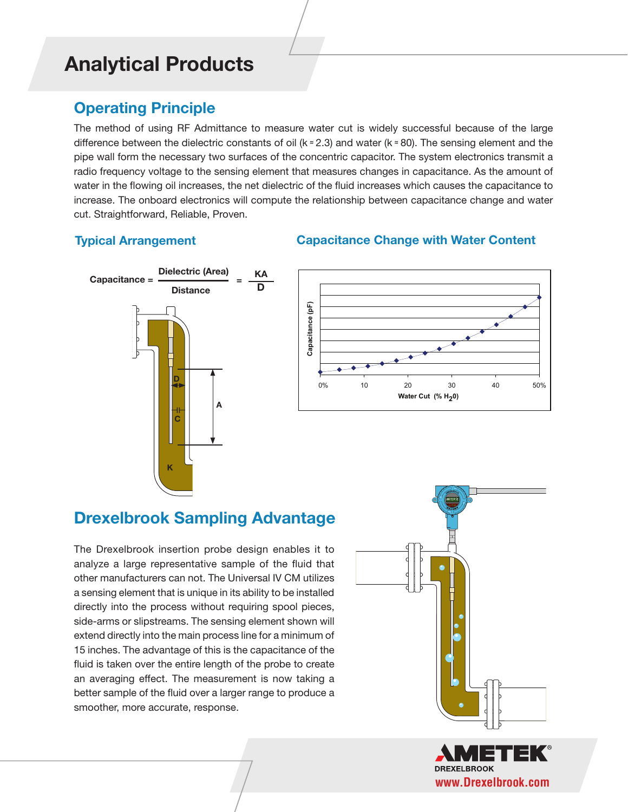## **Operating Principle**

The method of using RF Admittance to measure water cut is widely successful because of the large difference between the dielectric constants of oil (k  $\approx$  2.3) and water (k  $\approx$  80). The sensing element and the pipe wall form the necessary two surfaces of the concentric capacitor. The system electronics transmit a radio frequency voltage to the sensing element that measures changes in capacitance. As the amount of water in the flowing oil increases, the net dielectric of the fluid increases which causes the capacitance to increase. The onboard electronics will compute the relationship between capacitance change and water cut. Straightforward, Reliable, Proven.

## **Typical Arrangement**

## **Capacitance Change with Water Content 0-50 % in Heavy Oil**





## **Drexelbrook Sampling Advantage**

The Drexelbrook insertion probe design enables it to analyze a large representative sample of the fluid that other manufacturers can not. The Universal IV CM utilizes a sensing element that is unique in its ability to be installed directly into the process without requiring spool pieces, side-arms or slipstreams. The sensing element shown will extend directly into the main process line for a minimum of 15 inches. The advantage of this is the capacitance of the fluid is taken over the entire length of the probe to create an averaging effect. The measurement is now taking a better sample of the fluid over a larger range to produce a smoother, more accurate, response.



**DREXELBROOK www.Drexelbrook.com**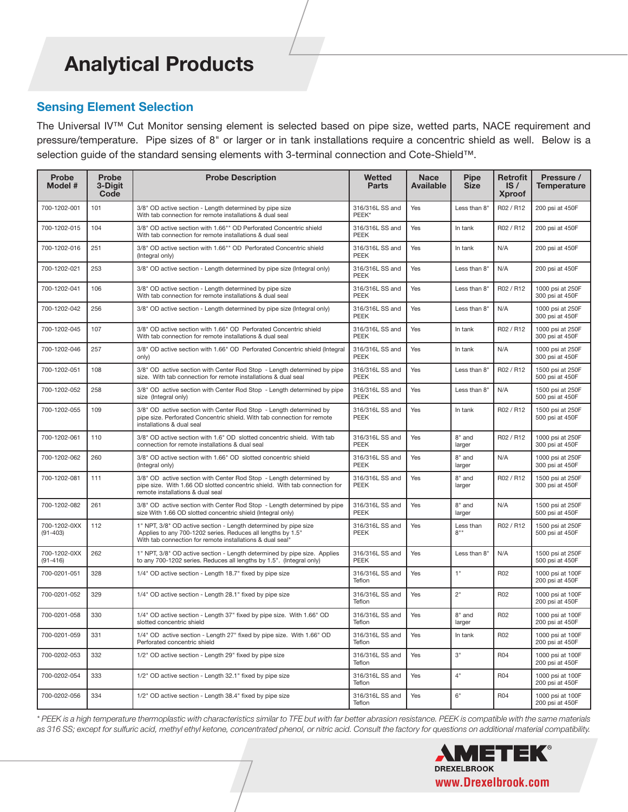### **Sensing Element Selection**

The Universal IV™ Cut Monitor sensing element is selected based on pipe size, wetted parts, NACE requirement and pressure/temperature. Pipe sizes of 8" or larger or in tank installations require a concentric shield as well. Below is a selection guide of the standard sensing elements with 3-terminal connection and Cote-Shield™.

| Probe<br>Model #             | <b>Probe</b><br>3-Digit<br>Code | <b>Probe Description</b>                                                                                                                                                                    | <b>Wetted</b><br>Parts         | <b>Nace</b><br><b>Available</b> | <b>Pipe</b><br><b>Size</b> | Retrofit<br>IS/<br><b>Xproof</b> | Pressure /<br><b>Temperature</b>    |
|------------------------------|---------------------------------|---------------------------------------------------------------------------------------------------------------------------------------------------------------------------------------------|--------------------------------|---------------------------------|----------------------------|----------------------------------|-------------------------------------|
| 700-1202-001                 | 101                             | 3/8" OD active section - Length determined by pipe size<br>With tab connection for remote installations & dual seal                                                                         | 316/316L SS and<br>PEEK*       | Yes                             | Less than 8"               | R02 / R12                        | 200 psi at 450F                     |
| 700-1202-015                 | 104                             | 3/8" OD active section with 1.66"" OD Perforated Concentric shield<br>With tab connection for remote installations & dual seal                                                              | 316/316L SS and<br><b>PEEK</b> | Yes                             | In tank                    | R02 / R12                        | 200 psi at 450F                     |
| 700-1202-016                 | 251                             | 3/8" OD active section with 1.66"" OD Perforated Concentric shield<br>(Integral only)                                                                                                       | 316/316L SS and<br>PEEK        | Yes                             | In tank                    | N/A                              | 200 psi at 450F                     |
| 700-1202-021                 | 253                             | 3/8" OD active section - Length determined by pipe size (Integral only)                                                                                                                     | 316/316L SS and<br>PEEK        | Yes                             | Less than 8"               | N/A                              | 200 psi at 450F                     |
| 700-1202-041                 | 106                             | 3/8" OD active section - Length determined by pipe size<br>With tab connection for remote installations & dual seal                                                                         | 316/316L SS and<br>PEEK        | Yes                             | Less than 8"               | R02 / R12                        | 1000 psi at 250F<br>300 psi at 450F |
| 700-1202-042                 | 256                             | 3/8" OD active section - Length determined by pipe size (Integral only)                                                                                                                     | 316/316L SS and<br>PEEK        | Yes                             | Less than 8"               | N/A                              | 1000 psi at 250F<br>300 psi at 450F |
| 700-1202-045                 | 107                             | 3/8" OD active section with 1.66" OD Perforated Concentric shield<br>With tab connection for remote installations & dual seal                                                               | 316/316L SS and<br>PEEK        | Yes                             | In tank                    | R02 / R12                        | 1000 psi at 250F<br>300 psi at 450F |
| 700-1202-046                 | 257                             | 3/8" OD active section with 1.66" OD Perforated Concentric shield (Integral<br>only)                                                                                                        | 316/316L SS and<br>PEEK        | Yes                             | In tank                    | N/A                              | 1000 psi at 250F<br>300 psi at 450F |
| 700-1202-051                 | 108                             | 3/8" OD active section with Center Rod Stop - Length determined by pipe<br>size. With tab connection for remote installations & dual seal                                                   | 316/316L SS and<br>PEEK        | Yes                             | Less than 8"               | R02 / R12                        | 1500 psi at 250F<br>500 psi at 450F |
| 700-1202-052                 | 258                             | 3/8" OD active section with Center Rod Stop - Length determined by pipe<br>size (Integral only)                                                                                             | 316/316L SS and<br>PEEK        | Yes                             | Less than 8"               | N/A                              | 1500 psi at 250F<br>500 psi at 450F |
| 700-1202-055                 | 109                             | 3/8" OD active section with Center Rod Stop - Length determined by<br>pipe size. Perforated Concentric shield. With tab connection for remote<br>installations & dual seal                  | 316/316L SS and<br>PEEK        | Yes                             | In tank                    | R02 / R12                        | 1500 psi at 250F<br>500 psi at 450F |
| 700-1202-061                 | 110                             | 3/8" OD active section with 1.6" OD slotted concentric shield. With tab<br>connection for remote installations & dual seal                                                                  | 316/316L SS and<br>PEEK        | Yes                             | 8" and<br>larger           | R02 / R12                        | 1000 psi at 250F<br>300 psi at 450F |
| 700-1202-062                 | 260                             | 3/8" OD active section with 1.66" OD slotted concentric shield<br>(Integral only)                                                                                                           | 316/316L SS and<br>PEEK        | Yes                             | 8" and<br>larger           | N/A                              | 1000 psi at 250F<br>300 psi at 450F |
| 700-1202-081                 | 111                             | 3/8" OD active section with Center Rod Stop - Length determined by<br>pipe size. With 1.66 OD slotted concentric shield. With tab connection for<br>remote installations & dual seal        | 316/316L SS and<br>PEEK        | Yes                             | 8" and<br>larger           | R02 / R12                        | 1500 psi at 250F<br>300 psi at 450F |
| 700-1202-082                 | 261                             | 3/8" OD active section with Center Rod Stop - Length determined by pipe<br>size With 1.66 OD slotted concentric shield (Integral only)                                                      | 316/316L SS and<br>PEEK        | Yes                             | 8" and<br>larger           | N/A                              | 1500 psi at 250F<br>500 psi at 450F |
| 700-1202-0XX<br>$(91 - 403)$ | 112                             | 1" NPT, 3/8" OD active section - Length determined by pipe size<br>Applies to any 700-1202 series. Reduces all lengths by 1.5"<br>With tab connection for remote installations & dual seal" | 316/316L SS and<br>PEEK        | Yes                             | Less than<br>8"            | R02 / R12                        | 1500 psi at 250F<br>500 psi at 450F |
| 700-1202-0XX<br>$(91 - 416)$ | 262                             | 1" NPT, 3/8" OD active section - Length determined by pipe size. Applies<br>to any 700-1202 series. Reduces all lengths by 1.5". (Integral only)                                            | 316/316L SS and<br>PEEK        | Yes                             | Less than 8"               | N/A                              | 1500 psi at 250F<br>500 psi at 450F |
| 700-0201-051                 | 328                             | 1/4" OD active section - Length 18.7" fixed by pipe size                                                                                                                                    | 316/316L SS and<br>Teflon      | Yes                             | 1"                         | R02                              | 1000 psi at 100F<br>200 psi at 450F |
| 700-0201-052                 | 329                             | 1/4" OD active section - Length 28.1" fixed by pipe size                                                                                                                                    | 316/316L SS and<br>Teflon      | Yes                             | 2"                         | <b>R02</b>                       | 1000 psi at 100F<br>200 psi at 450F |
| 700-0201-058                 | 330                             | 1/4" OD active section - Length 37" fixed by pipe size. With 1.66" OD<br>slotted concentric shield                                                                                          | 316/316L SS and<br>Teflon      | Yes                             | 8" and<br>larger           | R02                              | 1000 psi at 100F<br>200 psi at 450F |
| 700-0201-059                 | 331                             | 1/4" OD active section - Length 27" fixed by pipe size. With 1.66" OD<br>Perforated concentric shield                                                                                       | 316/316L SS and<br>Teflon      | Yes                             | In tank                    | R02                              | 1000 psi at 100F<br>200 psi at 450F |
| 700-0202-053                 | 332                             | 1/2" OD active section - Length 29" fixed by pipe size                                                                                                                                      | 316/316L SS and<br>Teflon      | Yes                             | 3"                         | <b>R04</b>                       | 1000 psi at 100F<br>200 psi at 450F |
| 700-0202-054                 | 333                             | 1/2" OD active section - Length 32.1" fixed by pipe size                                                                                                                                    | 316/316L SS and<br>Teflon      | Yes                             | 4"                         | <b>R04</b>                       | 1000 psi at 100F<br>200 psi at 450F |
| 700-0202-056                 | 334                             | 1/2" OD active section - Length 38.4" fixed by pipe size                                                                                                                                    | 316/316L SS and<br>Teflon      | Yes                             | 6"                         | <b>R04</b>                       | 1000 psi at 100F<br>200 psi at 450F |

*\* PEEK is a high temperature thermoplastic with characteristics similar to TFE but with far better abrasion resistance. PEEK is compatible with the same materials as 316 SS; except for sulfuric acid, methyl ethyl ketone, concentrated phenol, or nitric acid. Consult the factory for questions on additional material compatibility.*

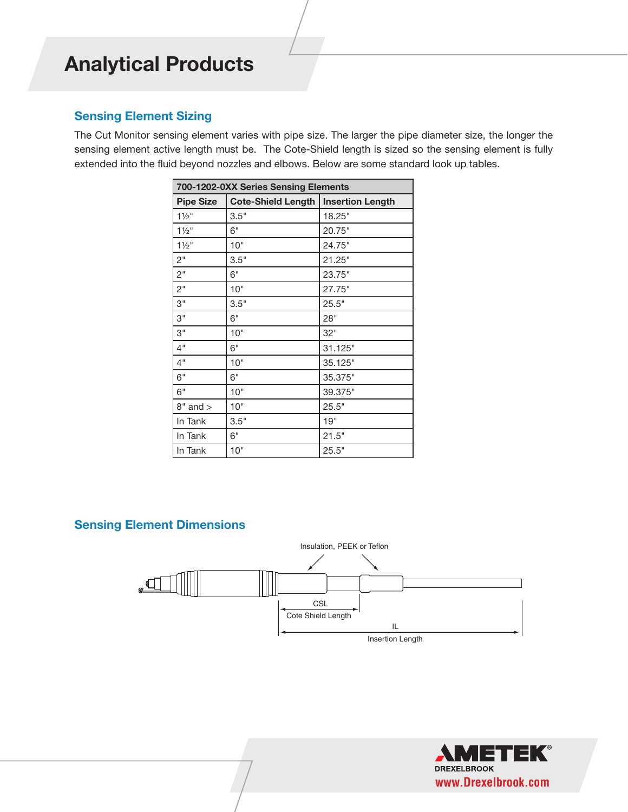## **Sensing Element Sizing**

The Cut Monitor sensing element varies with pipe size. The larger the pipe diameter size, the longer the sensing element active length must be. The Cote-Shield length is sized so the sensing element is fully extended into the fluid beyond nozzles and elbows. Below are some standard look up tables.

| 700-1202-0XX Series Sensing Elements |                           |                         |  |  |  |  |
|--------------------------------------|---------------------------|-------------------------|--|--|--|--|
| <b>Pipe Size</b>                     | <b>Cote-Shield Length</b> | <b>Insertion Length</b> |  |  |  |  |
| $1\frac{1}{2}$ "                     | 3.5"                      | 18.25"                  |  |  |  |  |
| $1\frac{1}{2}$ "                     | 6"                        | 20.75"                  |  |  |  |  |
| $1\frac{1}{2}$ "                     | 10"                       | 24.75"                  |  |  |  |  |
| 2"                                   | 3.5"                      | 21.25"                  |  |  |  |  |
| 2 <sup>''</sup>                      | 6"                        | 23.75"                  |  |  |  |  |
| $2^{\circ}$                          | 10"                       | 27.75"                  |  |  |  |  |
| 3"                                   | 3.5"                      | 25.5"                   |  |  |  |  |
| 3"                                   | 6"                        | 28"                     |  |  |  |  |
| 3"                                   | 10"                       | 32"                     |  |  |  |  |
| 4"                                   | 6"                        | 31.125"                 |  |  |  |  |
| 4"                                   | 10"                       | 35.125"                 |  |  |  |  |
| 6"                                   | 6"                        | 35.375"                 |  |  |  |  |
| 6"                                   | 10"                       | 39.375"                 |  |  |  |  |
| $8"$ and $>$                         | 10"                       | 25.5"                   |  |  |  |  |
| In Tank                              | 3.5"                      | 19"                     |  |  |  |  |
| In Tank                              | 6"                        | 21.5"                   |  |  |  |  |
| In Tank                              | 10"                       | 25.5"                   |  |  |  |  |

## **Sensing Element Dimensions**



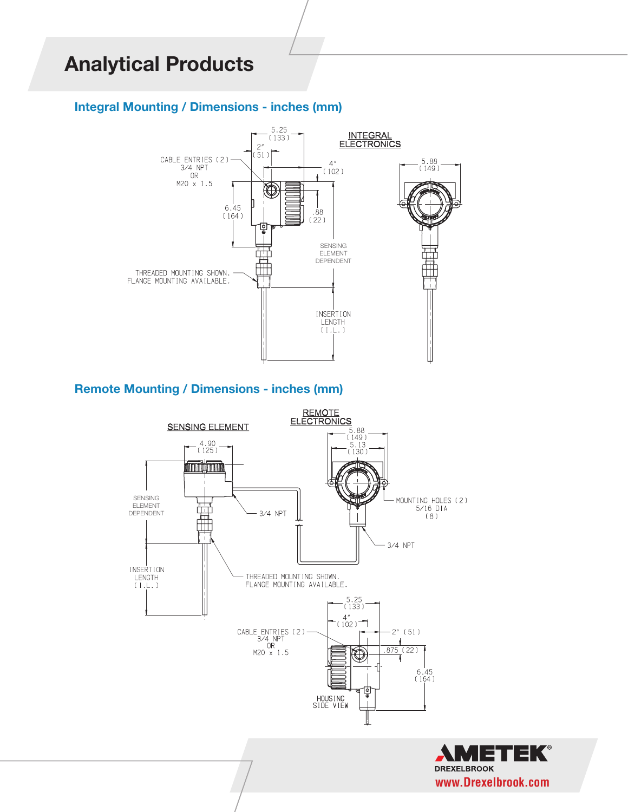## **Integral Mounting / Dimensions - inches (mm)**



## **Remote Mounting / Dimensions - inches (mm)**



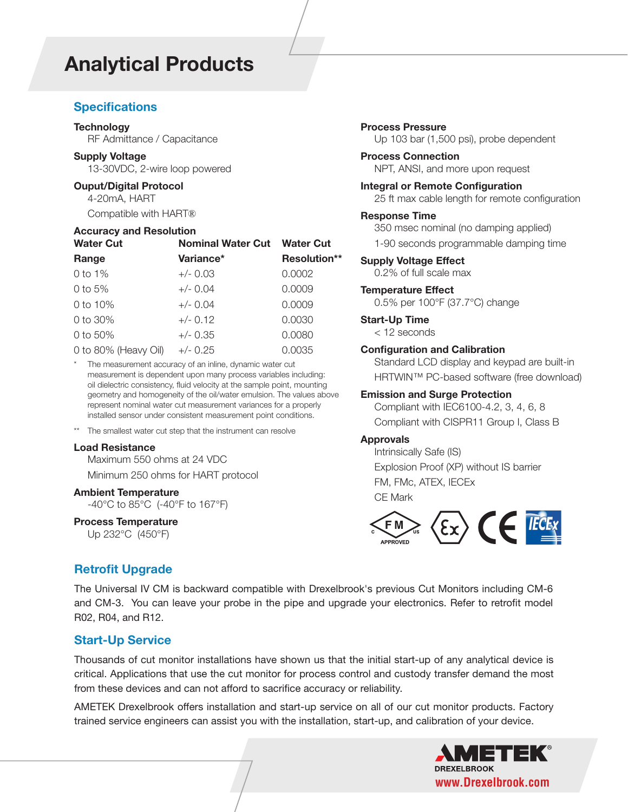### **Specifications**

#### **Technology**

RF Admittance / Capacitance

#### **Supply Voltage**

13-30VDC, 2-wire loop powered

#### **Ouput/Digital Protocol**

4-20mA, HART

Compatible with HART®

#### **Accuracy and Resolution**

| <b>Water Cut</b>     | <b>Nominal Water Cut Water Cut</b> |                     |  |  |
|----------------------|------------------------------------|---------------------|--|--|
| Range                | Variance*                          | <b>Resolution**</b> |  |  |
| 0 to $1\%$           | $+/- 0.03$                         | 0.0002              |  |  |
| 0 to $5%$            | $+/- 0.04$                         | 0.0009              |  |  |
| 0 to 10%             | $+/- 0.04$                         | 0.0009              |  |  |
| 0 to 30%             | $+/- 0.12$                         | 0.0030              |  |  |
| 0 to 50%             | $+/- 0.35$                         | 0.0080              |  |  |
| 0 to 80% (Heavy Oil) | $+/- 0.25$                         | 0.0035              |  |  |

The measurement accuracy of an inline, dynamic water cut measurement is dependent upon many process variables including: oil dielectric consistency, fluid velocity at the sample point, mounting geometry and homogeneity of the oil/water emulsion. The values above represent nominal water cut measurement variances for a properly installed sensor under consistent measurement point conditions.

\*\* The smallest water cut step that the instrument can resolve

#### **Load Resistance**

Maximum 550 ohms at 24 VDC Minimum 250 ohms for HART protocol

**Ambient Temperature**

-40°C to 85°C (-40°F to 167°F)

#### **Process Temperature**

Up 232°C (450°F)

## **Retrofit Upgrade**

**Process Pressure** Up 103 bar (1,500 psi), probe dependent

## **Process Connection**

NPT, ANSI, and more upon request

**Integral or Remote Configuration** 25 ft max cable length for remote configuration

#### **Response Time**

350 msec nominal (no damping applied)

1-90 seconds programmable damping time

**Supply Voltage Effect** 0.2% of full scale max

#### **Temperature Effect**

0.5% per 100°F (37.7°C) change

#### **Start-Up Time**

< 12 seconds

#### **Configuration and Calibration**

Standard LCD display and keypad are built-in HRTWIN™ PC-based software (free download)

#### **Emission and Surge Protection**

Compliant with IEC6100-4.2, 3, 4, 6, 8 Compliant with CISPR11 Group I, Class B

#### **Approvals**

Intrinsically Safe (IS) Explosion Proof (XP) without IS barrier FM, FMc, ATEX, IECEx CE Mark



The Universal IV CM is backward compatible with Drexelbrook's previous Cut Monitors including CM-6 and CM-3. You can leave your probe in the pipe and upgrade your electronics. Refer to retrofit model R02, R04, and R12.

### **Start-Up Service**

Thousands of cut monitor installations have shown us that the initial start-up of any analytical device is critical. Applications that use the cut monitor for process control and custody transfer demand the most from these devices and can not afford to sacrifice accuracy or reliability.

AMETEK Drexelbrook offers installation and start-up service on all of our cut monitor products. Factory trained service engineers can assist you with the installation, start-up, and calibration of your device.

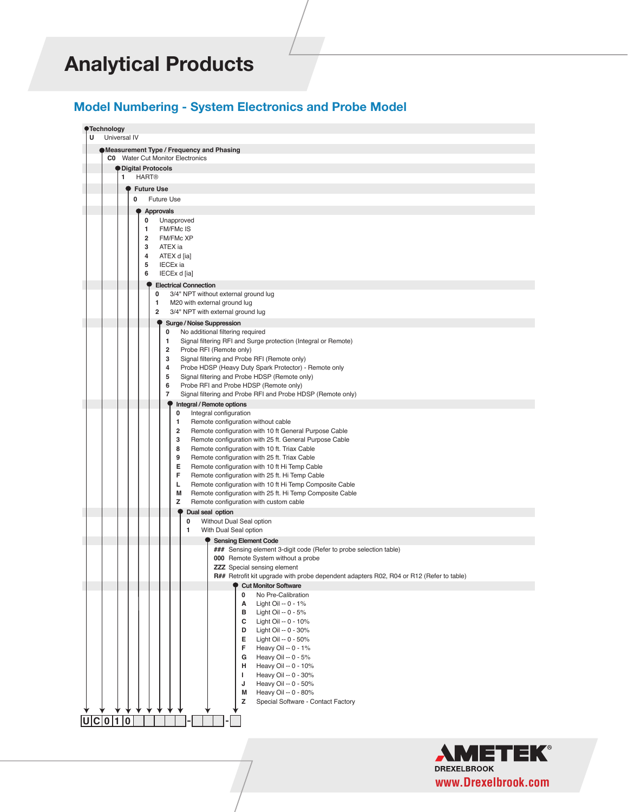**Process connection (XX)**

## **Model Numbering - System Electronics and Probe Model**

|   | <b>Technology</b>                                                                                                             |  |  |  |  |  |  |
|---|-------------------------------------------------------------------------------------------------------------------------------|--|--|--|--|--|--|
| U | Universal IV                                                                                                                  |  |  |  |  |  |  |
|   |                                                                                                                               |  |  |  |  |  |  |
|   | Measurement Type / Frequency and Phasing<br><b>C0</b> Water Cut Monitor Electronics                                           |  |  |  |  |  |  |
|   | <i><b>O</b></i> Digital Protocols                                                                                             |  |  |  |  |  |  |
|   | <b>HART<sup>®</sup></b><br>1.                                                                                                 |  |  |  |  |  |  |
|   | <b>Future Use</b>                                                                                                             |  |  |  |  |  |  |
|   | 0<br><b>Future Use</b>                                                                                                        |  |  |  |  |  |  |
|   | <b>Approvals</b>                                                                                                              |  |  |  |  |  |  |
|   | 0<br>Unapproved                                                                                                               |  |  |  |  |  |  |
|   | <b>FM/FMcIS</b><br>1                                                                                                          |  |  |  |  |  |  |
|   | <b>FM/FMcXP</b><br>$\overline{2}$                                                                                             |  |  |  |  |  |  |
|   | 3<br>ATEX ia<br>4                                                                                                             |  |  |  |  |  |  |
|   | ATEX d [ia]<br>5<br><b>IECEx</b> ia                                                                                           |  |  |  |  |  |  |
|   | 6<br>IECEx d [ia]                                                                                                             |  |  |  |  |  |  |
|   | <b>Electrical Connection</b>                                                                                                  |  |  |  |  |  |  |
|   | 3/4" NPT without external ground lug<br>0                                                                                     |  |  |  |  |  |  |
|   | 1<br>M20 with external ground lug                                                                                             |  |  |  |  |  |  |
|   | $\overline{2}$<br>3/4" NPT with external ground lug                                                                           |  |  |  |  |  |  |
|   | Surge / Noise Suppression                                                                                                     |  |  |  |  |  |  |
|   | No additional filtering required<br>0<br>Signal filtering RFI and Surge protection (Integral or Remote)<br>1.                 |  |  |  |  |  |  |
|   | $\overline{2}$<br>Probe RFI (Remote only)                                                                                     |  |  |  |  |  |  |
|   | 3<br>Signal filtering and Probe RFI (Remote only)                                                                             |  |  |  |  |  |  |
|   | 4<br>Probe HDSP (Heavy Duty Spark Protector) - Remote only                                                                    |  |  |  |  |  |  |
|   | 5<br>Signal filtering and Probe HDSP (Remote only)                                                                            |  |  |  |  |  |  |
|   | 6<br>Probe RFI and Probe HDSP (Remote only)<br>7<br>Signal filtering and Probe RFI and Probe HDSP (Remote only)               |  |  |  |  |  |  |
|   | Integral / Remote options                                                                                                     |  |  |  |  |  |  |
|   | Integral configuration<br>0                                                                                                   |  |  |  |  |  |  |
|   | Remote configuration without cable<br>1.                                                                                      |  |  |  |  |  |  |
|   | 2<br>Remote configuration with 10 ft General Purpose Cable<br>3                                                               |  |  |  |  |  |  |
|   | Remote configuration with 25 ft. General Purpose Cable<br>8<br>Remote configuration with 10 ft. Triax Cable                   |  |  |  |  |  |  |
|   | 9<br>Remote configuration with 25 ft. Triax Cable                                                                             |  |  |  |  |  |  |
|   | Е<br>Remote configuration with 10 ft Hi Temp Cable                                                                            |  |  |  |  |  |  |
|   | F<br>Remote configuration with 25 ft. Hi Temp Cable                                                                           |  |  |  |  |  |  |
|   | Remote configuration with 10 ft Hi Temp Composite Cable<br>L<br>Remote configuration with 25 ft. Hi Temp Composite Cable<br>M |  |  |  |  |  |  |
|   | z<br>Remote configuration with custom cable                                                                                   |  |  |  |  |  |  |
|   | Dual seal option                                                                                                              |  |  |  |  |  |  |
|   | Without Dual Seal option<br>0                                                                                                 |  |  |  |  |  |  |
|   | With Dual Seal option<br>1                                                                                                    |  |  |  |  |  |  |
|   | <b>Sensing Element Code</b>                                                                                                   |  |  |  |  |  |  |
|   | ### Sensing element 3-digit code (Refer to probe selection table)<br>000 Remote System without a probe                        |  |  |  |  |  |  |
|   | <b>ZZZ</b> Special sensing element                                                                                            |  |  |  |  |  |  |
|   | R## Retrofit kit upgrade with probe dependent adapters R02, R04 or R12 (Refer to table)                                       |  |  |  |  |  |  |
|   | <b>Cut Monitor Software</b>                                                                                                   |  |  |  |  |  |  |
|   | No Pre-Calibration<br>0<br>Α<br>Light Oil -- 0 - 1%                                                                           |  |  |  |  |  |  |
|   | в<br>Light Oil -- 0 - 5%                                                                                                      |  |  |  |  |  |  |
|   | с<br>Light Oil -- 0 - 10%                                                                                                     |  |  |  |  |  |  |
|   | Light Oil -- 0 - 30%<br>D                                                                                                     |  |  |  |  |  |  |
|   | Е<br>Light Oil -- 0 - 50%                                                                                                     |  |  |  |  |  |  |
|   | F<br>Heavy Oil -- 0 - 1%<br>G<br>Heavy Oil -- 0 - 5%                                                                          |  |  |  |  |  |  |
|   | н<br>Heavy Oil -- 0 - 10%                                                                                                     |  |  |  |  |  |  |
|   | Heavy Oil -- 0 - 30%<br>J.                                                                                                    |  |  |  |  |  |  |
|   | Heavy Oil -- 0 - 50%<br>J                                                                                                     |  |  |  |  |  |  |
|   | M<br>Heavy Oil -- 0 - 80%                                                                                                     |  |  |  |  |  |  |
|   | z<br>Special Software - Contact Factory                                                                                       |  |  |  |  |  |  |
|   | U C 0 1 0                                                                                                                     |  |  |  |  |  |  |
|   |                                                                                                                               |  |  |  |  |  |  |
|   |                                                                                                                               |  |  |  |  |  |  |